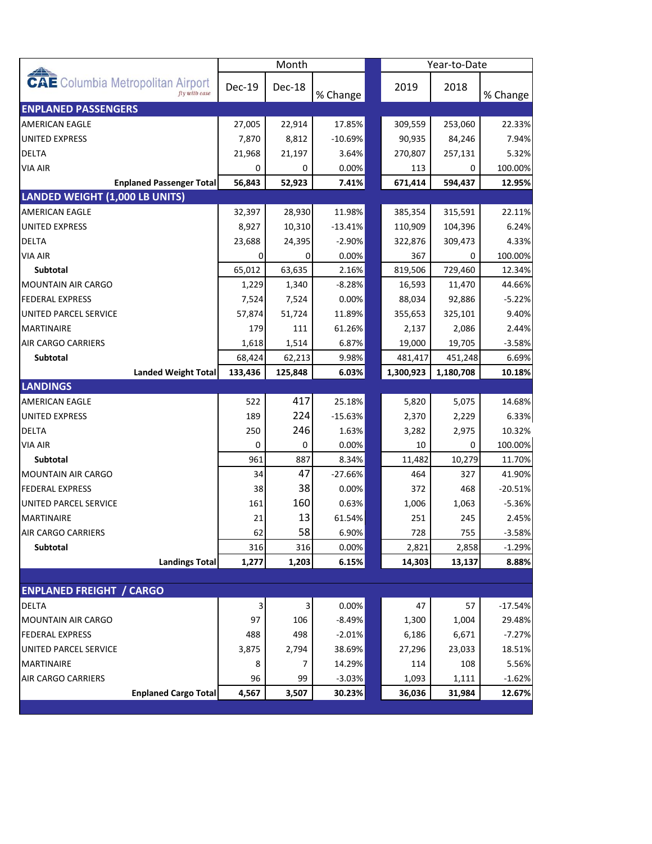|                                          |                                 | Month   |         |           |  | Year-to-Date |           |           |
|------------------------------------------|---------------------------------|---------|---------|-----------|--|--------------|-----------|-----------|
| <b>CAE</b> Columbia Metropolitan Airport | fly with ease                   | Dec-19  | Dec-18  | % Change  |  | 2019         | 2018      | % Change  |
| <b>ENPLANED PASSENGERS</b>               |                                 |         |         |           |  |              |           |           |
| <b>AMERICAN EAGLE</b>                    |                                 | 27,005  | 22,914  | 17.85%    |  | 309,559      | 253,060   | 22.33%    |
| <b>UNITED EXPRESS</b>                    |                                 | 7,870   | 8,812   | $-10.69%$ |  | 90,935       | 84,246    | 7.94%     |
| <b>DELTA</b>                             |                                 | 21,968  | 21,197  | 3.64%     |  | 270,807      | 257,131   | 5.32%     |
| <b>VIA AIR</b>                           |                                 | 0       | 0       | 0.00%     |  | 113          | 0         | 100.00%   |
|                                          | <b>Enplaned Passenger Total</b> | 56,843  | 52,923  | 7.41%     |  | 671,414      | 594,437   | 12.95%    |
| <b>LANDED WEIGHT (1,000 LB UNITS)</b>    |                                 |         |         |           |  |              |           |           |
| <b>AMERICAN EAGLE</b>                    |                                 | 32,397  | 28,930  | 11.98%    |  | 385,354      | 315,591   | 22.11%    |
| UNITED EXPRESS                           |                                 | 8,927   | 10,310  | $-13.41%$ |  | 110,909      | 104,396   | 6.24%     |
| DELTA                                    |                                 | 23,688  | 24,395  | $-2.90%$  |  | 322,876      | 309,473   | 4.33%     |
| <b>VIA AIR</b>                           |                                 | 0       | 0       | 0.00%     |  | 367          | 0         | 100.00%   |
| <b>Subtotal</b>                          |                                 | 65,012  | 63,635  | 2.16%     |  | 819,506      | 729,460   | 12.34%    |
| MOUNTAIN AIR CARGO                       |                                 | 1,229   | 1,340   | $-8.28%$  |  | 16,593       | 11,470    | 44.66%    |
| <b>FEDERAL EXPRESS</b>                   |                                 | 7,524   | 7,524   | 0.00%     |  | 88,034       | 92,886    | $-5.22%$  |
| UNITED PARCEL SERVICE                    |                                 | 57,874  | 51,724  | 11.89%    |  | 355,653      | 325,101   | 9.40%     |
| MARTINAIRE                               |                                 | 179     | 111     | 61.26%    |  | 2,137        | 2,086     | 2.44%     |
| AIR CARGO CARRIERS                       |                                 | 1,618   | 1,514   | 6.87%     |  | 19,000       | 19,705    | $-3.58%$  |
| Subtotal                                 |                                 | 68,424  | 62,213  | 9.98%     |  | 481,417      | 451,248   | 6.69%     |
|                                          | Landed Weight Total             | 133,436 | 125,848 | 6.03%     |  | 1,300,923    | 1,180,708 | 10.18%    |
| <b>LANDINGS</b>                          |                                 |         |         |           |  |              |           |           |
| <b>AMERICAN EAGLE</b>                    |                                 | 522     | 417     | 25.18%    |  | 5,820        | 5,075     | 14.68%    |
| UNITED EXPRESS                           |                                 | 189     | 224     | $-15.63%$ |  | 2,370        | 2,229     | 6.33%     |
| DELTA                                    |                                 | 250     | 246     | 1.63%     |  | 3,282        | 2,975     | 10.32%    |
| VIA AIR                                  |                                 | 0       | 0       | 0.00%     |  | 10           | 0         | 100.00%   |
| Subtotal                                 |                                 | 961     | 887     | 8.34%     |  | 11,482       | 10,279    | 11.70%    |
| MOUNTAIN AIR CARGO                       |                                 | 34      | 47      | $-27.66%$ |  | 464          | 327       | 41.90%    |
| <b>FEDERAL EXPRESS</b>                   |                                 | 38      | 38      | 0.00%     |  | 372          | 468       | $-20.51%$ |
| UNITED PARCEL SERVICE                    |                                 | 161     | 160     | 0.63%     |  | 1,006        | 1,063     | $-5.36%$  |
| <b>MARTINAIRE</b>                        |                                 | 21      | 13      | 61.54%    |  | 251          | 245       | 2.45%     |
| <b>AIR CARGO CARRIERS</b>                |                                 | 62      | 58      | 6.90%     |  | 728          | 755       | $-3.58%$  |
| Subtotal                                 |                                 | 316     | 316     | 0.00%     |  | 2,821        | 2,858     | $-1.29%$  |
|                                          | <b>Landings Total</b>           | 1,277   | 1,203   | 6.15%     |  | 14,303       | 13,137    | 8.88%     |
|                                          |                                 |         |         |           |  |              |           |           |
| <b>ENPLANED FREIGHT / CARGO</b>          |                                 |         |         |           |  |              |           |           |
| DELTA                                    |                                 | З       | 3       | 0.00%     |  | 47           | 57        | $-17.54%$ |
| MOUNTAIN AIR CARGO                       |                                 | 97      | 106     | $-8.49%$  |  | 1,300        | 1,004     | 29.48%    |
| <b>FEDERAL EXPRESS</b>                   |                                 | 488     | 498     | $-2.01%$  |  | 6,186        | 6,671     | $-7.27%$  |
| UNITED PARCEL SERVICE                    |                                 | 3,875   | 2,794   | 38.69%    |  | 27,296       | 23,033    | 18.51%    |
| <b>MARTINAIRE</b>                        |                                 | 8       | 7       | 14.29%    |  | 114          | 108       | 5.56%     |
| AIR CARGO CARRIERS                       |                                 | 96      | 99      | $-3.03%$  |  | 1,093        | 1,111     | $-1.62%$  |
|                                          | <b>Enplaned Cargo Total</b>     | 4,567   | 3,507   | 30.23%    |  | 36,036       | 31,984    | 12.67%    |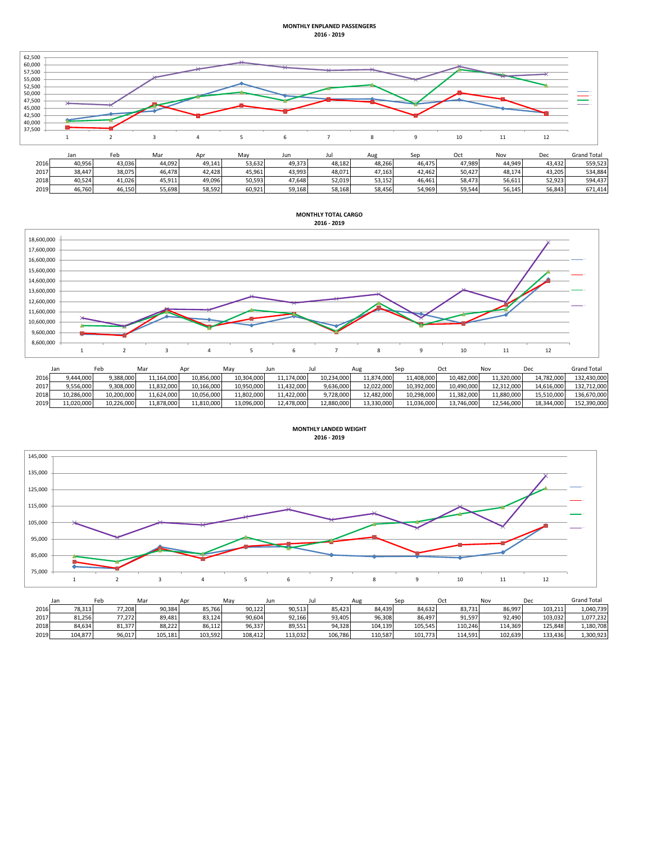## **MONTHLY ENPLANED PASSENGERS 2016 - 2019**



|      |        | Fe <sub>b</sub> | Mar    | Apr    | May    | Jun    | Jul    | Aug    | Sep    | Oct    | No     | Dec    | Grand Total |
|------|--------|-----------------|--------|--------|--------|--------|--------|--------|--------|--------|--------|--------|-------------|
| 2016 | 40,956 | 43.036          | 44.092 | 49.141 | 53.632 | 49.373 | 48.182 | 48.266 | 46.475 | 47.989 | 44.949 | 43.432 | 559.523     |
| 2017 | 38.447 | 38.075          | 46.478 | 42.428 | 45.961 | 43.993 | 48.071 | 47.163 | 42.462 | 50.427 | 48.174 | 43.205 | 534.884     |
| 2018 | 40.524 | 41.026          | 45.911 | 49.096 | 50,593 | 47.648 | 52.019 | 53.152 | 46.461 | 58.473 | 56.611 | 52.923 | 594.437     |
| 2019 | 46.760 | 46.150          | 55,698 | 58,592 | 60.921 | 59.168 | 58.168 | 58.456 | 54.969 | 59.544 | 56.145 | 56.843 | 671.414     |



|      | Jan        | Feb        | Mar        |            | Mav        | Jun        | Jul        | Aug        | Sep        | Oct        | Nov        | Dec        | <b>Grand Total</b> |
|------|------------|------------|------------|------------|------------|------------|------------|------------|------------|------------|------------|------------|--------------------|
| 2016 | 9.444.000  | 9.388.000  | 11.164.000 | 10.856.000 | 10.304.000 | 11.174.000 | 10.234.000 | 11.874.000 | 11.408.000 | 10.482.000 | 11.320.000 | 14.782.000 | 132.430.000        |
| 2017 | 9,556,000  | 000.803.00 | 11,832,000 | 10,166,000 | 10,950,000 | 11,432,000 | 9,636,000  | 12,022,000 | 10,392,000 | 10,490,000 | 12,312,000 | 14,616,000 | 132,712,000        |
| 2018 | 10,286,000 | 10.200.000 | 11.624.000 | 10,056,000 | 11,802,000 | 11.422.000 | 9,728,000  | 12,482,000 | 10,298,000 | 11,382,000 | 11,880,000 | 15,510,000 | 136,670,000        |
| 2019 | 11,020,000 | 10.226.000 | 11.878.000 | 11.810.000 | 13.096.000 | 12.478.000 | 12.880.000 | 13.330.000 | 11.036.000 | 13.746.000 | 12.546.000 | 18.344.000 | 152.390.000        |



|      | Jar     | Feb    | Ma      | Apr     | Mav     | Jun     | Jul     | Aug     | Sep     | Oct     | Nov     | Dec     | <b>Grand Total</b> |
|------|---------|--------|---------|---------|---------|---------|---------|---------|---------|---------|---------|---------|--------------------|
| 2016 | 78.313  | 77.208 | 90.384  | 85.766  | 90.122  | 90.513  | 85.423  | 84.439  | 84.632  | 83,731  | 86.997  | 103.211 | 1.040.739          |
| 2017 | 81,256  | 77.272 | 89.481  | 83.124  | 90,604  | 92,166  | 93,405  | 96,308  | 86,497  | 91,597  | 92.490  | 103,032 | 1,077,232          |
| 2018 | 84,634  | 81,377 | 88,222  | 86,112  | 96,337  | 89,551  | 94,328  | 104,139 | 105,545 | 110,246 | 114.369 | 125,848 | L,180,708          |
| 2019 | 104.877 | 96,017 | 105.181 | 103.592 | 108.412 | 113.032 | 106.786 | 110,587 | 101.773 | 114.591 | 102.639 | 133.436 | 1,300,923          |

**MONTHLY LANDED WEIGHT 2016 - 2019**

## **MONTHLY TOTAL CARGO**